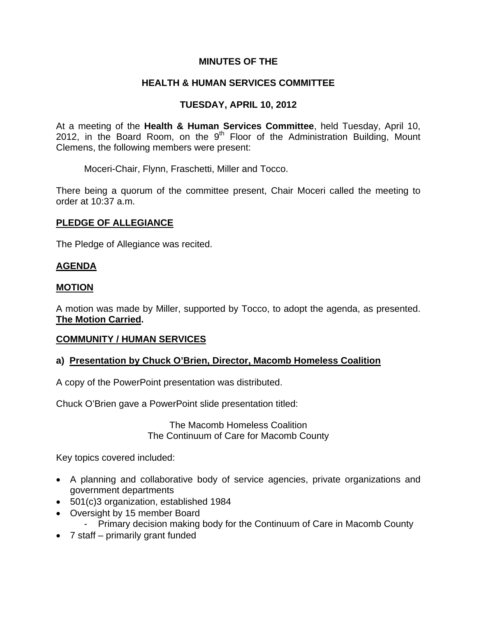# **MINUTES OF THE**

# **HEALTH & HUMAN SERVICES COMMITTEE**

# **TUESDAY, APRIL 10, 2012**

At a meeting of the **Health & Human Services Committee**, held Tuesday, April 10, 2012, in the Board Room, on the  $9<sup>th</sup>$  Floor of the Administration Building, Mount Clemens, the following members were present:

Moceri-Chair, Flynn, Fraschetti, Miller and Tocco.

There being a quorum of the committee present, Chair Moceri called the meeting to order at 10:37 a.m.

### **PLEDGE OF ALLEGIANCE**

The Pledge of Allegiance was recited.

# **AGENDA**

### **MOTION**

A motion was made by Miller, supported by Tocco, to adopt the agenda, as presented. **The Motion Carried.** 

#### **COMMUNITY / HUMAN SERVICES**

#### **a) Presentation by Chuck O'Brien, Director, Macomb Homeless Coalition**

A copy of the PowerPoint presentation was distributed.

Chuck O'Brien gave a PowerPoint slide presentation titled:

The Macomb Homeless Coalition The Continuum of Care for Macomb County

Key topics covered included:

- A planning and collaborative body of service agencies, private organizations and government departments
- 501(c)3 organization, established 1984
- Oversight by 15 member Board
	- Primary decision making body for the Continuum of Care in Macomb County
- 7 staff primarily grant funded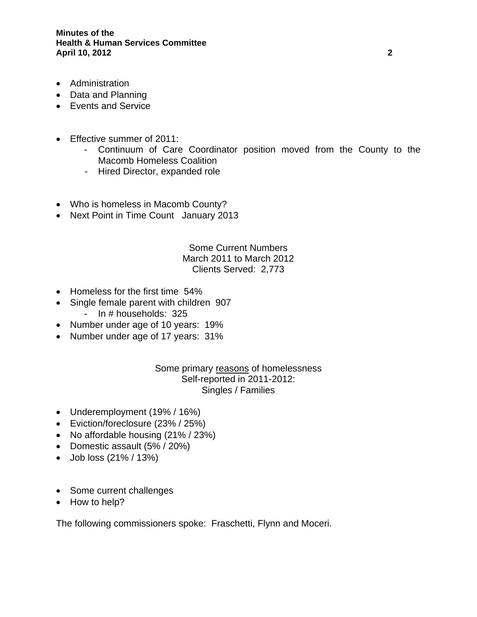- Administration
- Data and Planning
- Events and Service
- Effective summer of 2011:
	- Continuum of Care Coordinator position moved from the County to the Macomb Homeless Coalition
	- Hired Director, expanded role
- Who is homeless in Macomb County?
- Next Point in Time Count January 2013

# Some Current Numbers March 2011 to March 2012 Clients Served: 2,773

- Homeless for the first time 54%
- Single female parent with children 907 - In # households: 325
- Number under age of 10 years: 19%
- Number under age of 17 years: 31%

## Some primary reasons of homelessness Self-reported in 2011-2012: Singles / Families

- Underemployment (19% / 16%)
- Eviction/foreclosure (23% / 25%)
- No affordable housing (21% / 23%)
- Domestic assault (5% / 20%)
- Job loss (21% / 13%)
- Some current challenges
- How to help?

The following commissioners spoke: Fraschetti, Flynn and Moceri.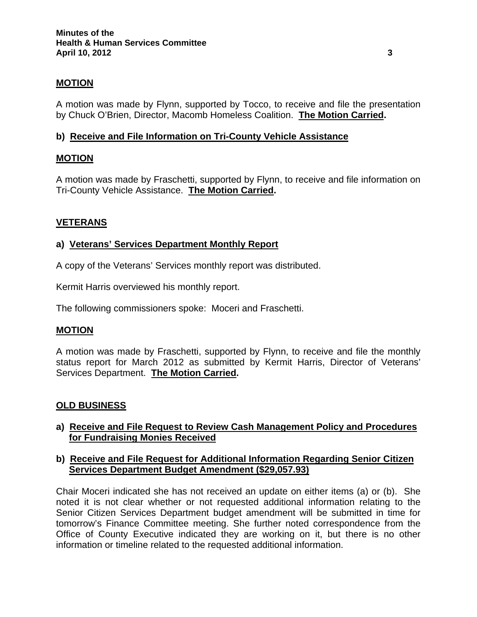# **MOTION**

A motion was made by Flynn, supported by Tocco, to receive and file the presentation by Chuck O'Brien, Director, Macomb Homeless Coalition. **The Motion Carried.** 

## **b) Receive and File Information on Tri-County Vehicle Assistance**

### **MOTION**

A motion was made by Fraschetti, supported by Flynn, to receive and file information on Tri-County Vehicle Assistance. **The Motion Carried.** 

### **VETERANS**

### **a) Veterans' Services Department Monthly Report**

A copy of the Veterans' Services monthly report was distributed.

Kermit Harris overviewed his monthly report.

The following commissioners spoke: Moceri and Fraschetti.

#### **MOTION**

A motion was made by Fraschetti, supported by Flynn, to receive and file the monthly status report for March 2012 as submitted by Kermit Harris, Director of Veterans' Services Department. **The Motion Carried.** 

#### **OLD BUSINESS**

### **a) Receive and File Request to Review Cash Management Policy and Procedures for Fundraising Monies Received**

### **b) Receive and File Request for Additional Information Regarding Senior Citizen Services Department Budget Amendment (\$29,057.93)**

Chair Moceri indicated she has not received an update on either items (a) or (b). She noted it is not clear whether or not requested additional information relating to the Senior Citizen Services Department budget amendment will be submitted in time for tomorrow's Finance Committee meeting. She further noted correspondence from the Office of County Executive indicated they are working on it, but there is no other information or timeline related to the requested additional information.